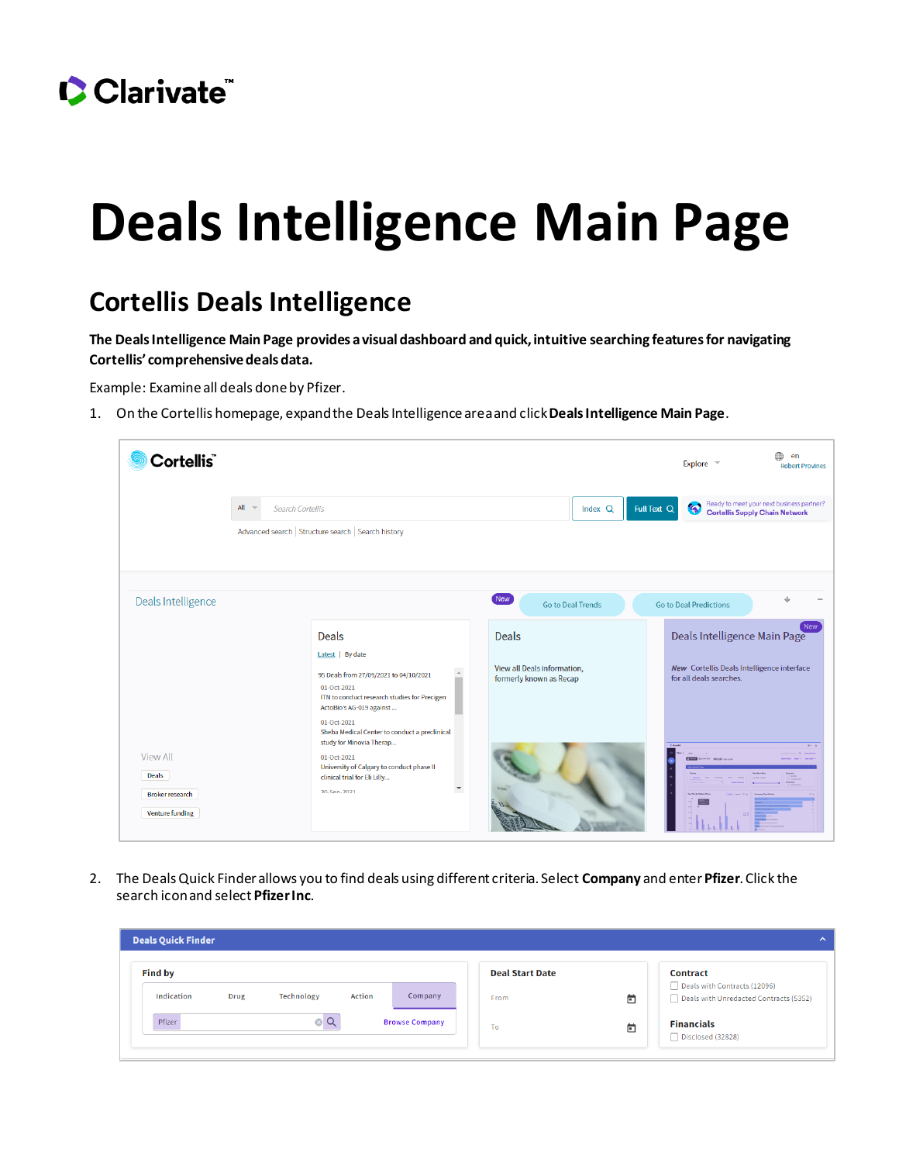

## **Deals Intelligence Main Page**

## **Cortellis Deals Intelligence**

**The Deals Intelligence Main Page provides a visual dashboard and quick, intuitive searching features for navigating Cortellis' comprehensive deals data.**

Example: Examine all deals done by Pfizer.

1. On the Cortellis homepage, expand the Deals Intelligence areaand click **Deals Intelligence Main Page**.

| Cortellis <sup>"</sup>                                                              |                                    |                                                                                                                                                                                                                                                             |                                                                        |                          |             | Explore v                                                                                                    | 企<br>en<br><b>Robert Provines</b>                                                  |
|-------------------------------------------------------------------------------------|------------------------------------|-------------------------------------------------------------------------------------------------------------------------------------------------------------------------------------------------------------------------------------------------------------|------------------------------------------------------------------------|--------------------------|-------------|--------------------------------------------------------------------------------------------------------------|------------------------------------------------------------------------------------|
|                                                                                     | $All -$<br><b>Search Cortellis</b> |                                                                                                                                                                                                                                                             |                                                                        | Index Q                  | Full Text Q | 客                                                                                                            | Ready to meet your next business partner?<br><b>Cortellis Supply Chain Network</b> |
|                                                                                     |                                    | Advanced search   Structure search   Search history                                                                                                                                                                                                         |                                                                        |                          |             |                                                                                                              |                                                                                    |
| Deals Intelligence                                                                  |                                    |                                                                                                                                                                                                                                                             | New                                                                    | <b>Go to Deal Trends</b> |             | <b>Go to Deal Predictions</b>                                                                                |                                                                                    |
|                                                                                     |                                    | <b>Deals</b><br>Latest By date<br>95 Deals from 27/09/2021 to 04/10/2021<br>01-Oct-2021<br>ITN to conduct research studies for Precigen                                                                                                                     | <b>Deals</b><br>View all Deals information,<br>formerly known as Recap |                          |             | Deals Intelligence Main Page<br><b>New</b> Cortellis Deals Intelligence interface<br>for all deals searches. | <b>New</b>                                                                         |
| <b>View All</b><br><b>Deals</b><br><b>Broker research</b><br><b>Venture funding</b> |                                    | ActoBio's AG-019 against<br>01-Oct-2021<br>Sheba Medical Center to conduct a preclinical<br>study for Minovia Therap<br>01-Oct-2021<br>University of Calgary to conduct phase II<br>clinical trial for Eli Lilly<br>$\overline{\phantom{a}}$<br>30-Sen-2021 |                                                                        |                          |             | 11 105.223 (subject)                                                                                         | $0 - 1$                                                                            |

2. The Deals Quick Finder allows you to find deals using different criteria. Select **Company** and enter **Pfizer**. Click the search icon and select **Pfizer Inc**.

| <b>Deals Quick Finder</b>                                               |                                     | $\mathbf{\Lambda}$                                                                        |
|-------------------------------------------------------------------------|-------------------------------------|-------------------------------------------------------------------------------------------|
| <b>Find by</b><br>Indication<br>Company<br>Technology<br>Action<br>Drug | <b>Deal Start Date</b><br>卣<br>From | <b>Contract</b><br>Deals with Contracts (12096)<br>Deals with Unredacted Contracts (5352) |
| $\alpha$<br>Pfizer<br><b>Browse Company</b><br>⊗                        | 卣<br>To                             | <b>Financials</b><br>Disclosed (32828)                                                    |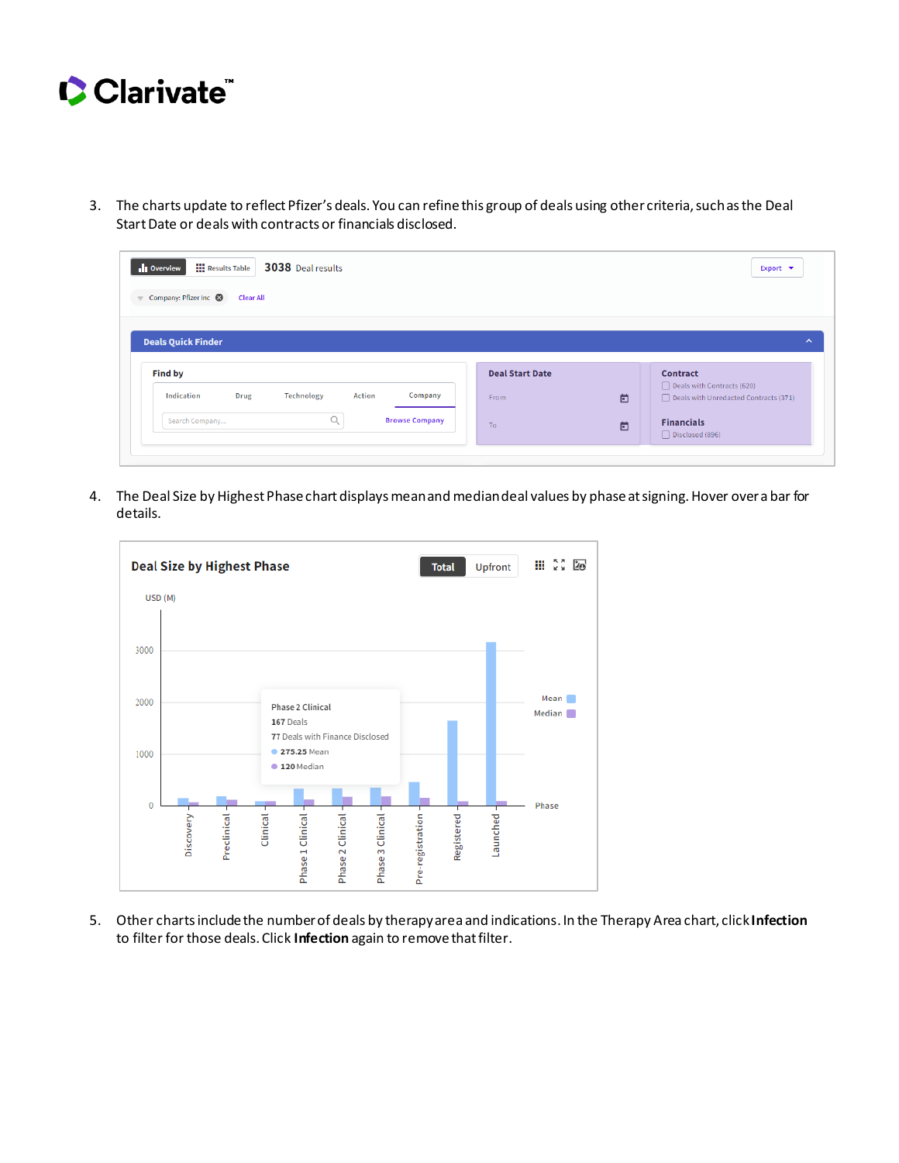

3. The charts update to reflect Pfizer's deals. You can refine this group of deals using other criteria, such as the Deal Start Date or deals with contracts or financials disclosed.

| <b>III</b> Results Table<br>3038 Deal results<br><b>Ill</b> Overview |                        |   | Export $\blacktriangledown$                                         |
|----------------------------------------------------------------------|------------------------|---|---------------------------------------------------------------------|
| $=$ Company: Pfizer Inc $\otimes$<br><b>Clear All</b>                |                        |   |                                                                     |
|                                                                      |                        |   |                                                                     |
|                                                                      |                        |   |                                                                     |
| <b>Deals Quick Finder</b>                                            |                        |   |                                                                     |
|                                                                      |                        |   |                                                                     |
| <b>Find by</b>                                                       | <b>Deal Start Date</b> |   | <b>Contract</b>                                                     |
| Action<br>Indication<br>Company<br>Technology<br><b>Drug</b>         | From                   | 卣 | Deals with Contracts (620)<br>Deals with Unredacted Contracts (371) |
| a<br><b>Browse Company</b><br>Search Company                         | To:                    | 卣 | <b>Financials</b>                                                   |

4. The Deal Size by Highest Phase chart displays mean and median deal values by phase at signing. Hover over a bar for details.



5. Other charts include the number of deals by therapy area and indications. In the Therapy Area chart, click **Infection** to filter for those deals. Click **Infection** again to remove that filter.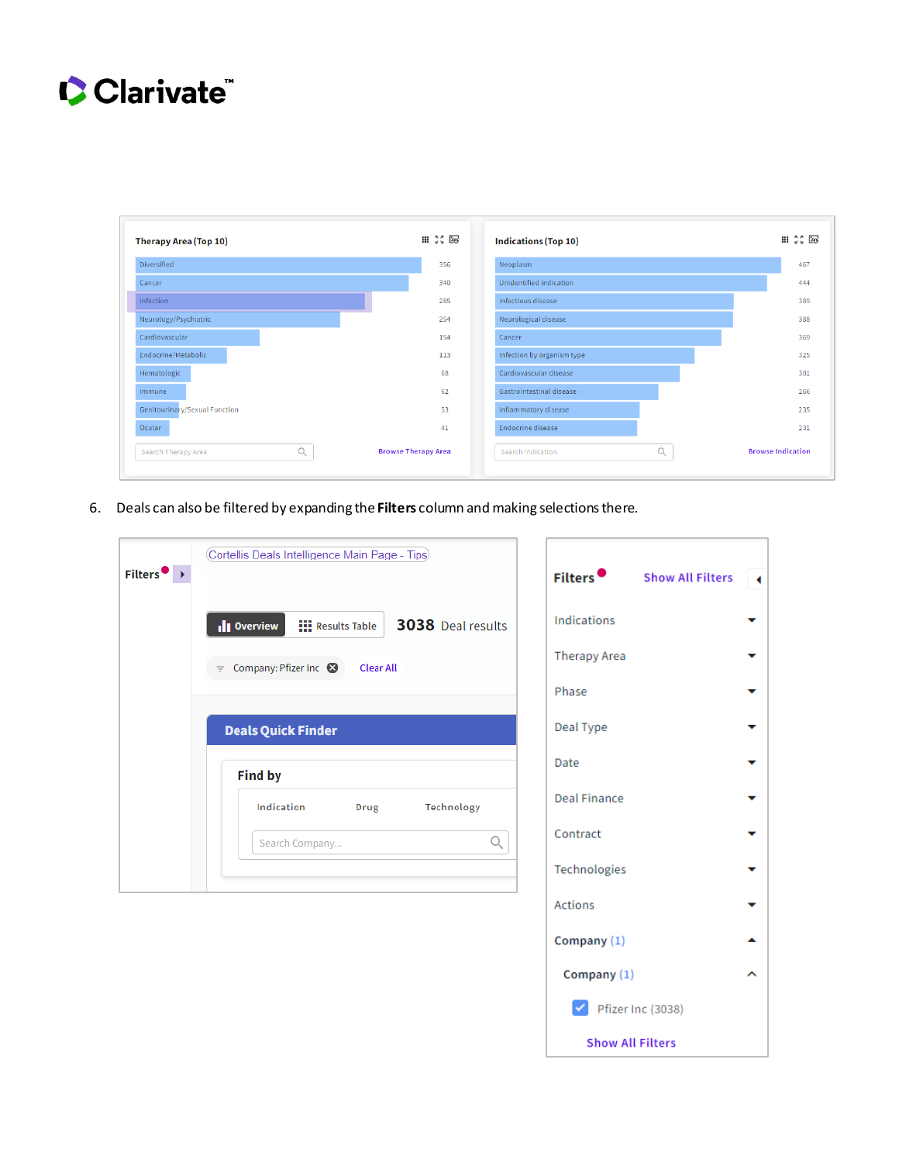

| <b>Therapy Area (Top 10)</b>    | $III \times 2$ 20          | <b>Indications (Top 10)</b> | <b>III</b> $\frac{52}{50}$ 20 |
|---------------------------------|----------------------------|-----------------------------|-------------------------------|
| Diversified                     | 356                        | Neoplasm                    | 467                           |
| Cancer                          | 340                        | Unidentified indication     | 444                           |
| Infection                       | 285                        | Infectious disease          | 389                           |
| Neurology/Psychiatric           | 254                        | Neurological disease        | 388                           |
| Cardiovascular                  | 154                        | Cancer                      | 369                           |
| Endocrine/Metabolic             | 113                        | Infection by organism type  | 325                           |
| Hematologic                     | 68                         | Cardiovascular disease      | 301                           |
| Immune                          | 62                         | Gastrointestinal disease    | 266                           |
| Genitourinary/Sexual Function   | 53                         | Inflammatory disease        | 235                           |
| Ocular                          | 41                         | Endocrine disease           | 231                           |
| $\alpha$<br>Search Therapy Area | <b>Browse Therapy Area</b> | Q<br>Search Indication      | <b>Browse Indication</b>      |

6. Deals can also be filtered by expanding the Filters column and making selections there.

| $Filters$ $\rightarrow$ | Cortellis Deals Intelligence Main Page - Tips)                       | Filters <sup>•</sup> | <b>Show All Filters</b> |                       |
|-------------------------|----------------------------------------------------------------------|----------------------|-------------------------|-----------------------|
|                         | 3038 Deal results<br><b>III</b> Results Table<br><b>Ill</b> Overview | <b>Indications</b>   |                         | v                     |
|                         | Company: Pfizer Inc 8<br><b>Clear All</b><br>$=$                     | <b>Therapy Area</b>  |                         | ▼                     |
|                         |                                                                      | Phase                |                         | ▼                     |
|                         | <b>Deals Quick Finder</b>                                            | Deal Type            |                         |                       |
|                         | <b>Find by</b>                                                       | Date                 |                         | ▼                     |
|                         | Indication<br>Technology<br>Drug                                     | <b>Deal Finance</b>  |                         | ▼                     |
|                         | Q<br>Search Company                                                  | Contract             |                         | v                     |
|                         |                                                                      | Technologies         |                         | v                     |
|                         |                                                                      | <b>Actions</b>       |                         | $\tilde{\phantom{a}}$ |
|                         |                                                                      | Company $(1)$        |                         | ▲                     |

| echnologies                       |  |
|-----------------------------------|--|
| ctions                            |  |
| ompany (1)                        |  |
| Company (1)                       |  |
| $\checkmark$<br>Pfizer Inc (3038) |  |
|                                   |  |

**Show All Filters**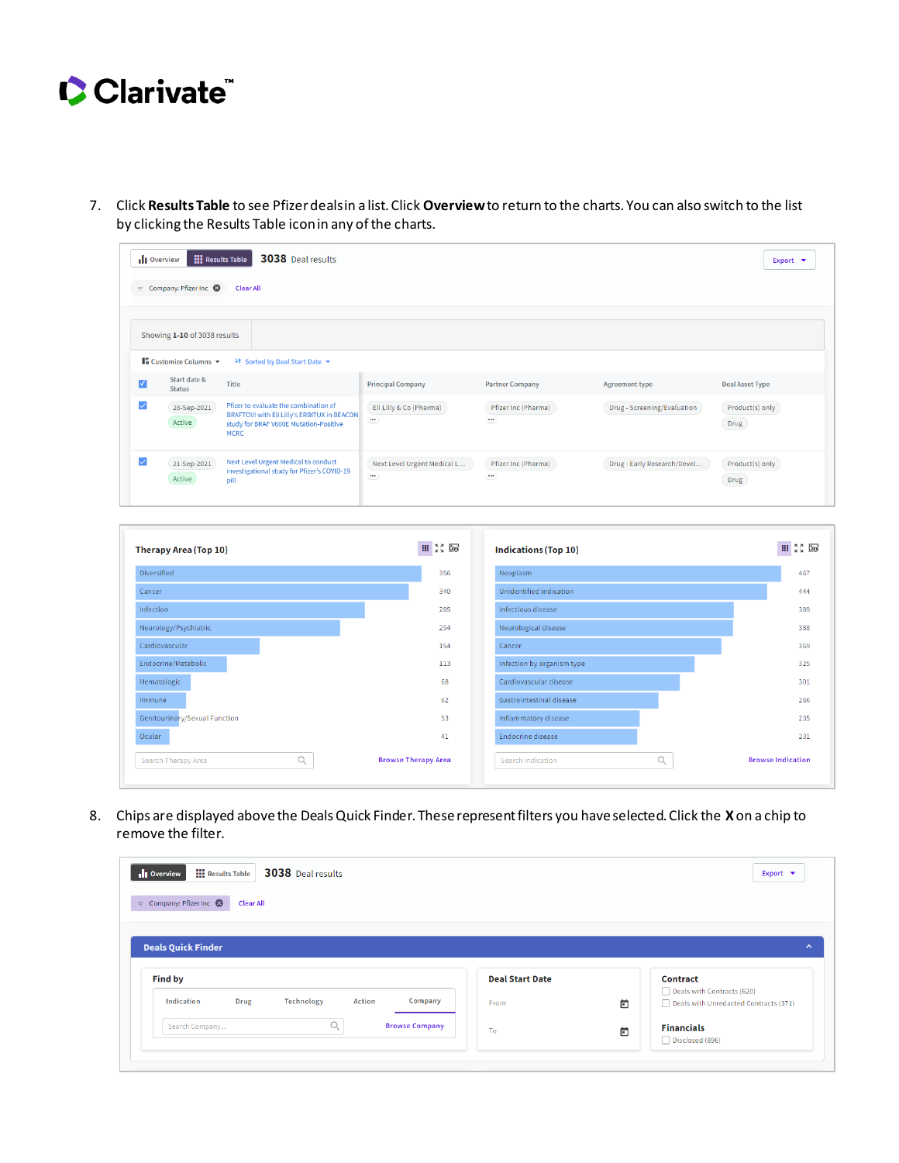

7. Click **Results Table** to see Pfizer deals in a list. Click **Overview**to return to the charts. You can also switch to the list by clicking the Results Table icon in any of the charts.

| <b>Ill</b> Overview | $=$ Company: Pfizer Inc $\otimes$                                                      | <b>HI Results Table</b><br><b>3038</b> Deal results<br><b>Clear All</b>                                                                       |                                                                                     |                                 |                             | Export $\blacktriangleright$ |
|---------------------|----------------------------------------------------------------------------------------|-----------------------------------------------------------------------------------------------------------------------------------------------|-------------------------------------------------------------------------------------|---------------------------------|-----------------------------|------------------------------|
|                     | Showing 1-10 of 3038 results<br>$\blacksquare$ Customize Columns $\blacktriangleright$ | <sup>4</sup> Sorted by Deal Start Date ▼                                                                                                      |                                                                                     |                                 |                             |                              |
| ⊽                   | Start date &<br><b>Status</b>                                                          | Title                                                                                                                                         | <b>Principal Company</b>                                                            | <b>Partner Company</b>          | <b>Agreement type</b>       | <b>Deal Asset Type</b>       |
|                     | 28-Sep-2021<br>Active                                                                  | Pfizer to evaluate the combination of<br>BRAFTOVI with Eli Lilly's ERBITUX in BEACON<br>study for BRAF V600E Mutation-Positive<br><b>MCRC</b> | Eli Lilly & Co (Pharma)<br>$\cdots$                                                 | Pfizer Inc (Pharma)<br>$\cdots$ | Drug - Screening/Evaluation | Product(s) only<br>Drug      |
|                     | 21-Sep-2021<br>Active                                                                  | Next Level Urgent Medical to conduct<br>investigational study for Pfizer's COVID-19<br>pill                                                   | Next Level Urgent Medical L<br>$\begin{array}{c} \bullet\bullet\bullet \end{array}$ | Pfizer Inc (Pharma)<br>$\cdots$ | Drug - Early Research/Devel | Product(s) only<br>Drug      |

| <b>Therapy Area (Top 10)</b>    |                            | <b>Indications (Top 10)</b> | $\scriptstyle\rm III$ $\scriptstyle\stackrel{8}{\scriptstyle\rm X}$ $\scriptstyle\rm II$ $\scriptstyle\rm 20$ |
|---------------------------------|----------------------------|-----------------------------|---------------------------------------------------------------------------------------------------------------|
| <b>Diversified</b>              | 356                        | Neoplasm                    | 467                                                                                                           |
| Cancer                          | 340                        | Unidentified indication     | 444                                                                                                           |
| Infection                       | 285                        | Infectious disease          | 389                                                                                                           |
| Neurology/Psychiatric           | 254                        | Neurological disease        | 388                                                                                                           |
| Cardiovascular                  | 154                        | Cancer                      | 369                                                                                                           |
| Endocrine/Metabolic             | 113                        | Infection by organism type  | 325                                                                                                           |
| Hematologic                     | 68                         | Cardiovascular disease      | 301                                                                                                           |
| <i>Immune</i>                   | 62                         | Gastrointestinal disease    | 266                                                                                                           |
| Genitourinary/Sexual Function   | 53                         | Inflammatory disease        | 235                                                                                                           |
| Ocular                          | 41                         | <b>Endocrine disease</b>    | 231                                                                                                           |
| $\alpha$<br>Search Therapy Area | <b>Browse Therapy Area</b> | Q<br>Search Indication      | <b>Browse Indication</b>                                                                                      |

8. Chips are displayed above the Deals Quick Finder. These represent filters you have selected. Click the **X** on a chip to remove the filter.

| 3038 Deal results<br><b>III</b> Results Table<br><b>Ill</b> Overview |                        |   | Export $\blacktriangledown$           |
|----------------------------------------------------------------------|------------------------|---|---------------------------------------|
| $=$ Company: Pfizer Inc $\odot$<br><b>Clear All</b>                  |                        |   |                                       |
|                                                                      |                        |   |                                       |
|                                                                      |                        |   |                                       |
|                                                                      |                        |   |                                       |
| <b>Deals Quick Finder</b>                                            |                        |   |                                       |
| <b>Find by</b>                                                       | <b>Deal Start Date</b> |   | <b>Contract</b>                       |
|                                                                      |                        |   | Deals with Contracts (620)            |
| Indication<br>Technology<br>Action<br>Company<br>Drug                | From                   | 卣 | Deals with Unredacted Contracts (371) |
| $\alpha$<br><b>Browse Company</b><br>Search Company                  | To                     | 卣 | <b>Financials</b>                     |